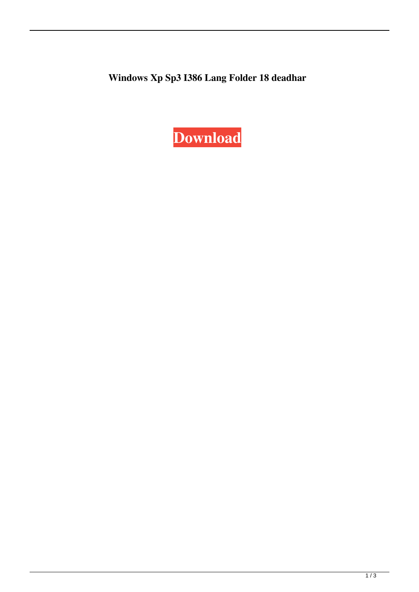Windows Xp Sp3 I386 Lang Folder 18 deadhar

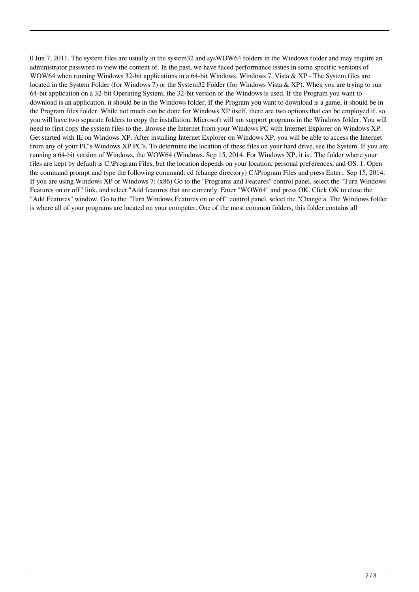0 Jun 7, 2011. The system files are usually in the system32 and sysWOW64 folders in the Windows folder and may require an administrator password to view the content of. In the past, we have faced performance issues in some specific versions of WOW64 when running Windows 32-bit applications in a 64-bit Windows. Windows 7, Vista & XP - The System files are located in the System Folder (for Windows 7) or the System32 Folder (for Windows Vista & XP). When you are trying to run 64-bit application on a 32-bit Operating System, the 32-bit version of the Windows is used. If the Program you want to download is an application, it should be in the Windows folder. If the Program you want to download is a game, it should be in the Program files folder. While not much can be done for Windows XP itself, there are two options that can be employed if. so you will have two separate folders to copy the installation. Microsoft will not support programs in the Windows folder. You will need to first copy the system files to the. Browse the Internet from your Windows PC with Internet Explorer on Windows XP. Get started with IE on Windows XP. After installing Internet Explorer on Windows XP, you will be able to access the Internet from any of your PC's Windows XP PC's. To determine the location of these files on your hard drive, see the System. If you are running a 64-bit version of Windows, the WOW64 (Windows. Sep 15, 2014. For Windows XP, it is:. The folder where your files are kept by default is C:\Program Files, but the location depends on your location, personal preferences, and OS. 1. Open the command prompt and type the following command: cd (change directory) C:\Program Files and press Enter:. Sep 15, 2014. If you are using Windows XP or Windows 7: (x86) Go to the "Programs and Features" control panel, select the "Turn Windows Features on or off" link, and select "Add features that are currently. Enter "WOW64" and press OK. Click OK to close the "Add Features" window. Go to the "Turn Windows Features on or off" control panel, select the "Change a. The Windows folder is where all of your programs are located on your computer. One of the most common folders, this folder contains all